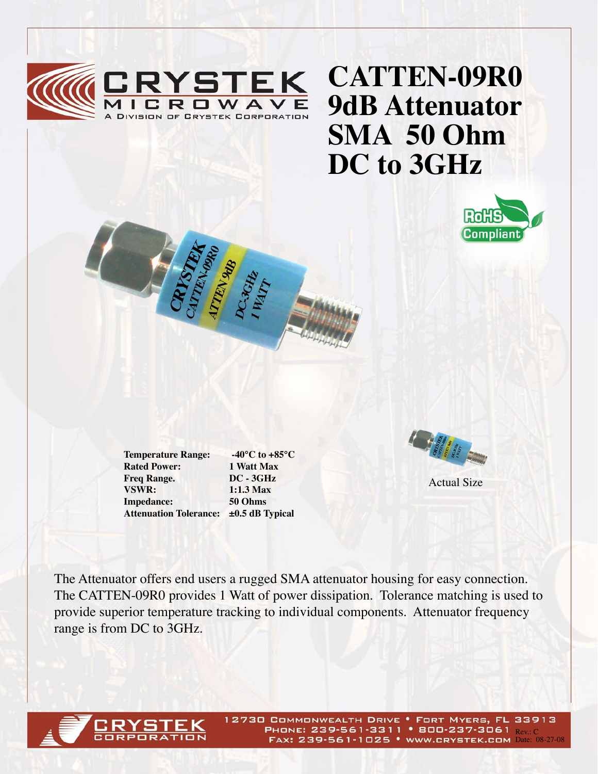

## **CATTEN-09R0 9dB Attenuator SMA 50 Ohm DC to 3GHz**



**Rated Power:** 1 Watt Max<br> **Freq Range.** DC - 3GHz **Freq Range. VSWR: 1:1.3 Max Impedance: 50 Ohms**

**Temperature Range: -40°C to +85°C Attenuation Tolerance: ±0.5 dB Typical**



Actual Size

The Attenuator offers end users a rugged SMA attenuator housing for easy connection. The CATTEN-09R0 provides 1 Watt of power dissipation. Tolerance matching is used to provide superior temperature tracking to individual components. Attenuator frequency range is from DC to 3GHz.



12730 COMMONWEALTH DRIVE . FORT MYERS, FL 33913 PHONE: 239-561-3311 • 800-237-3061 Rev. C FAX: 239-561-1025 • WWW.CRYSTEK.COM Date: 08-27-08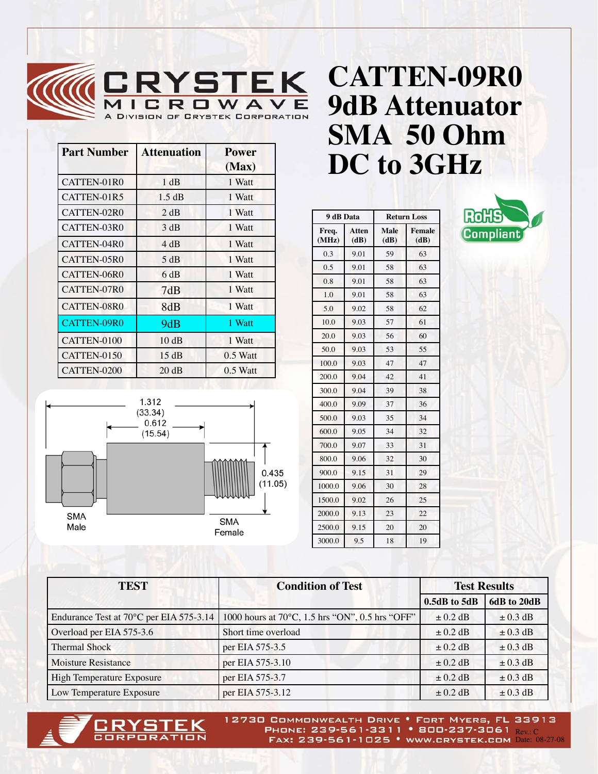

| <b>Part Number</b> | <b>Attenuation</b> | <b>Power</b><br>(Max) |
|--------------------|--------------------|-----------------------|
| CATTEN-01R0        | 1 dB               | 1 Watt                |
| CATTEN-01R5        | 1.5 dB             | 1 Watt                |
| CATTEN-02R0        | 2 dB               | 1 Watt                |
| CATTEN-03R0        | 3 dB               | 1 Watt                |
| CATTEN-04R0        | 4 dB               | 1 Watt                |
| CATTEN-05R0        | 5 dB               | 1 Watt                |
| CATTEN-06R0        | 6 dB               | 1 Watt                |
| CATTEN-07R0        | 7dB                | 1 Watt                |
| CATTEN-08R0        | 8dB                | 1 Watt                |
| <b>CATTEN-09R0</b> | 9dB                | 1 Watt                |
| CATTEN-0100        | 10dB               | 1 Watt                |
| CATTEN-0150        | 15dB               | $0.5$ Watt            |
| CATTEN-0200        | 20 dB              | $0.5$ Watt            |



|                |               |                     |                       | DC to 3GHz |
|----------------|---------------|---------------------|-----------------------|------------|
| 9 dB Data      |               | <b>Return Loss</b>  |                       | Ro         |
| Freq.<br>(MHz) | Atten<br>(dB) | <b>Male</b><br>(dB) | <b>Female</b><br>(dB) |            |
| 0.3            | 9.01          | 59                  | 63                    |            |
| 0.5            | 9.01          | 58                  | 63                    |            |
| 0.8            | 9.01          | 58                  | 63                    |            |
| 1.0            | 9.01          | 58                  | 63                    |            |
| 5.0            | 9.02          | 58                  | 62                    |            |
| 10.0           | 9.03          | 57                  | 61                    |            |
| 20.0           | 9.03          | 56                  | 60                    |            |
| 50.0           | 9.03          | 53                  | 55                    |            |

100.0 9.03 47 47 200.0 9.04 42 41 300.0 9.04 39 38 400.0 9.09 37 36 500.0 9.03 35 34 600.0 9.05 34 32 700.0 9.07 33 31 800.0 9.06 32 30 900.0 9.15 31 29 1000.0 9.06 30 28 1500.0 9.02 26 25 2000.0 9.13 23 22 2500.0 9.15 20 20 3000.0 9.5 18 19



| <b>TEST</b>                             | <b>Condition of Test</b>                                  | <b>Test Results</b> |              |
|-----------------------------------------|-----------------------------------------------------------|---------------------|--------------|
|                                         |                                                           | $0.5dB$ to $5dB$    | 6dB to 20dB  |
| Endurance Test at 70°C per EIA 575-3.14 | 1000 hours at 70 $\degree$ C, 1.5 hrs "ON", 0.5 hrs "OFF" | $\pm$ 0.2 dB        | $\pm$ 0.3 dB |
| Overload per EIA 575-3.6                | Short time overload                                       | $\pm$ 0.2 dB        | $\pm$ 0.3 dB |
| <b>Thermal Shock</b>                    | per EIA 575-3.5                                           | $\pm$ 0.2 dB        | $\pm$ 0.3 dB |
| <b>Moisture Resistance</b>              | per EIA 575-3.10                                          | $\pm$ 0.2 dB        | $\pm$ 0.3 dB |
| High Temperature Exposure               | per EIA 575-3.7                                           | $\pm$ 0.2 dB        | $\pm$ 0.3 dB |
| Low Temperature Exposure                | per EIA 575-3.12                                          | $\pm$ 0.2 dB        | $\pm$ 0.3 dB |



12730 COMMONWEALTH DRIVE . FORT MYERS, FL 33913 PHONE: 239-561-3311 • 800-237-3061 Rev. C FAX: 239-561-1025 • WWW.CRYSTEK.COM Date: 08-27-08